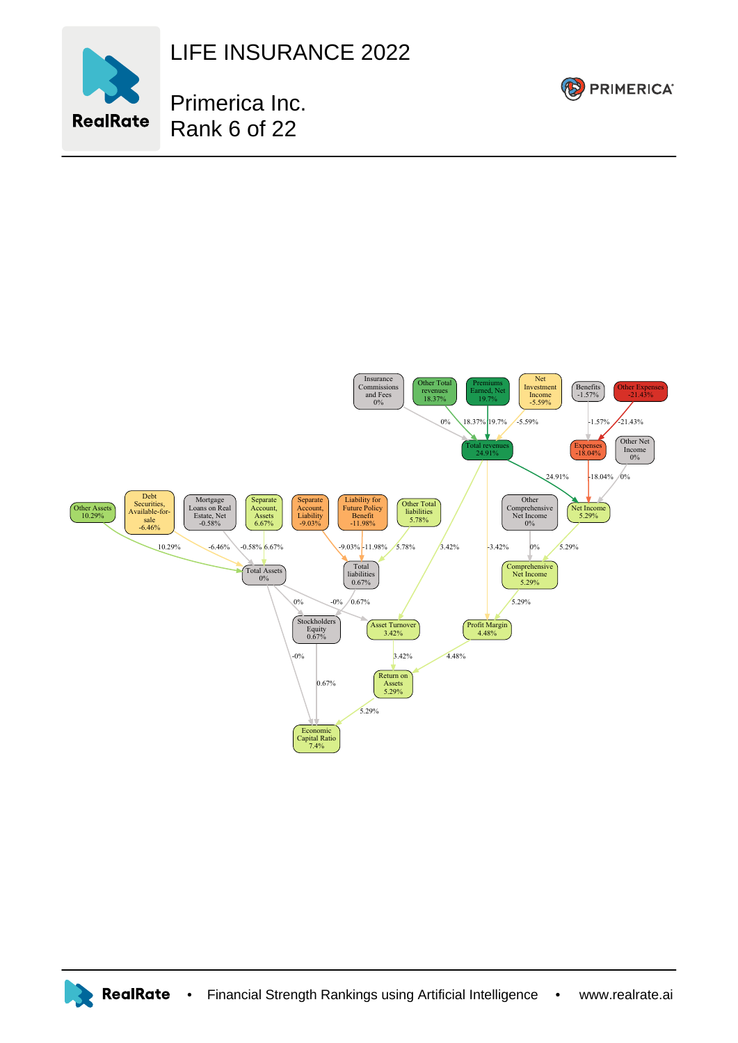

LIFE INSURANCE 2022